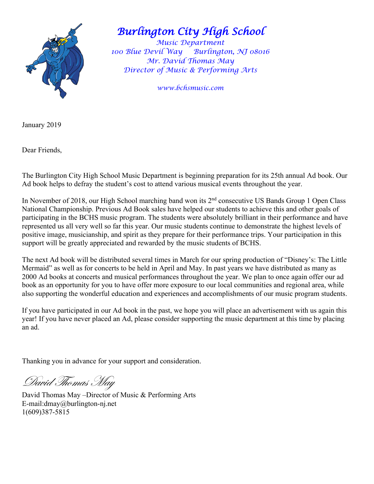

## *Burlington City High School*

*Music Department* 100 Blue Devil Way Burlington, NJ 08016 *Mr. David Thomas May Director of Music & Performing Arts*

*www.bchsmusic.com*

January 2019

Dear Friends,

The Burlington City High School Music Department is beginning preparation for its 25th annual Ad book. Our Ad book helps to defray the student's cost to attend various musical events throughout the year.

In November of 2018, our High School marching band won its 2<sup>nd</sup> consecutive US Bands Group 1 Open Class National Championship. Previous Ad Book sales have helped our students to achieve this and other goals of participating in the BCHS music program. The students were absolutely brilliant in their performance and have represented us all very well so far this year. Our music students continue to demonstrate the highest levels of positive image, musicianship, and spirit as they prepare for their performance trips. Your participation in this support will be greatly appreciated and rewarded by the music students of BCHS.

The next Ad book will be distributed several times in March for our spring production of "Disney's: The Little Mermaid" as well as for concerts to be held in April and May. In past years we have distributed as many as 2000 Ad books at concerts and musical performances throughout the year. We plan to once again offer our ad book as an opportunity for you to have offer more exposure to our local communities and regional area, while also supporting the wonderful education and experiences and accomplishments of our music program students.

If you have participated in our Ad book in the past, we hope you will place an advertisement with us again this year! If you have never placed an Ad, please consider supporting the music department at this time by placing an ad.

Thanking you in advance for your support and consideration.

David Thomas May

David Thomas May –Director of Music & Performing Arts E-mail:dmay@burlington-nj.net 1(609)387-5815